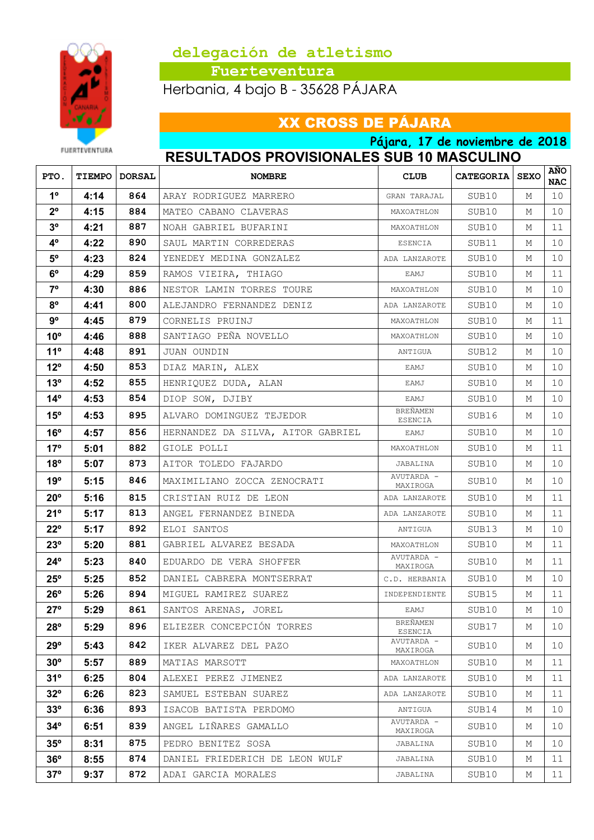

 **Fuerteventura**

Herbania, 4 bajo B - 35628 PÁJARA

## XX CROSS DE PÁJARA

FUERTEVENTURA

**Pájara, 17 de noviembre de 2018 RESULTADOS PROVISIONALES SUB 10 MASCULINO**

| PTO.           |      | <b>TIEMPO   DORSAL</b> | <b>NOMBRE</b>                     | <b>CLUB</b>            | <b>CATEGORIA   SEXO</b> |   | <b>AÑO</b><br><b>NAC</b> |
|----------------|------|------------------------|-----------------------------------|------------------------|-------------------------|---|--------------------------|
| $1^{\circ}$    | 4:14 | 864                    | ARAY RODRIGUEZ MARRERO            | GRAN TARAJAL           | SUB10                   | М | 10                       |
| $2^{\circ}$    | 4:15 | 884                    | MATEO CABANO CLAVERAS             | MAXOATHLON             | SUB10                   | М | 10                       |
| 3 <sup>o</sup> | 4:21 | 887                    | NOAH GABRIEL BUFARINI             | MAXOATHLON             | SUB10                   | М | 11                       |
| $4^{\circ}$    | 4:22 | 890                    | SAUL MARTIN CORREDERAS            | ESENCIA                | SUB11                   | М | 10                       |
| $5^{\circ}$    | 4:23 | 824                    | YENEDEY MEDINA GONZALEZ           | ADA LANZAROTE          | SUB10                   | М | 10                       |
| $6^{\circ}$    | 4:29 | 859                    | RAMOS VIEIRA, THIAGO              | EAMJ                   | SUB10                   | М | 11                       |
| $7^{\circ}$    | 4:30 | 886                    | NESTOR LAMIN TORRES TOURE         | MAXOATHLON             | SUB10                   | М | 10                       |
| $8^{\circ}$    | 4:41 | 800                    | ALEJANDRO FERNANDEZ DENIZ         | ADA LANZAROTE          | SUB10                   | М | 10                       |
| 9º             | 4:45 | 879                    | CORNELIS PRUINJ                   | MAXOATHLON             | SUB10                   | М | 11                       |
| $10^{\circ}$   | 4:46 | 888                    | SANTIAGO PEÑA NOVELLO             | MAXOATHLON             | SUB10                   | М | 10                       |
| $11^{\circ}$   | 4:48 | 891                    | JUAN OUNDIN                       | ANTIGUA                | SUB12                   | М | 10                       |
| $12^{\circ}$   | 4:50 | 853                    | DIAZ MARIN, ALEX                  | EAMJ                   | SUB10                   | М | 10                       |
| $13^{\circ}$   | 4:52 | 855                    | HENRIQUEZ DUDA, ALAN              | EAMJ                   | SUB10                   | М | 10                       |
| $14^{\circ}$   | 4:53 | 854                    | DIOP SOW, DJIBY                   | EAMJ                   | SUB10                   | М | 10                       |
| $15^{\circ}$   | 4:53 | 895                    | ALVARO DOMINGUEZ TEJEDOR          | BREÑAMEN<br>ESENCIA    | SUB16                   | М | 10                       |
| $16^{\circ}$   | 4:57 | 856                    | HERNANDEZ DA SILVA, AITOR GABRIEL | EAMJ                   | SUB10                   | М | 10                       |
| $17^{\circ}$   | 5:01 | 882                    | GIOLE POLLI                       | MAXOATHLON             | SUB10                   | М | 11                       |
| $18^{\circ}$   | 5:07 | 873                    | AITOR TOLEDO FAJARDO              | JABALINA               | SUB10                   | М | 10                       |
| 19°            | 5:15 | 846                    | MAXIMILIANO ZOCCA ZENOCRATI       | AVUTARDA -<br>MAXIROGA | SUB10                   | М | 10                       |
| $20^{\circ}$   | 5:16 | 815                    | CRISTIAN RUIZ DE LEON             | ADA LANZAROTE          | SUB10                   | М | 11                       |
| $21^\circ$     | 5:17 | 813                    | ANGEL FERNANDEZ BINEDA            | ADA LANZAROTE          | SUB10                   | М | 11                       |
| $22^{\circ}$   | 5:17 | 892                    | ELOI SANTOS                       | ANTIGUA                | SUB13                   | М | 10                       |
| 23°            | 5:20 | 881                    | GABRIEL ALVAREZ BESADA            | MAXOATHLON             | SUB10                   | М | 11                       |
| $24^{\circ}$   | 5:23 | 840                    | EDUARDO DE VERA SHOFFER           | AVUTARDA -<br>MAXIROGA | SUB10                   | М | 11                       |
| $25^{\circ}$   | 5:25 | 852                    | DANIEL CABRERA MONTSERRAT         | C.D. HERBANIA          | SUB10                   | М | 10                       |
| $26^{\circ}$   | 5:26 | 894                    | MIGUEL RAMIREZ SUAREZ             | INDEPENDIENTE          | SUB15                   | М | 11                       |
| $27^\circ$     | 5:29 | 861                    | SANTOS ARENAS, JOREL              | EAMJ                   | SUB10                   | М | 10 <sup>°</sup>          |
| $28^{\circ}$   | 5:29 | 896                    | ELIEZER CONCEPCIÓN TORRES         | BREÑAMEN<br>ESENCIA    | SUB17                   | М | 10 <sub>1</sub>          |
| $29^\circ$     | 5:43 | 842                    | IKER ALVAREZ DEL PAZO             | AVUTARDA -<br>MAXIROGA | SUB10                   | М | 10                       |
| $30^{\circ}$   | 5:57 | 889                    | MATIAS MARSOTT                    | MAXOATHLON             | SUB10                   | М | 11                       |
| $31^{\circ}$   | 6:25 | 804                    | ALEXEI PEREZ JIMENEZ              | ADA LANZAROTE          | SUB10                   | М | 11                       |
| $32^{\circ}$   | 6:26 | 823                    | SAMUEL ESTEBAN SUAREZ             | ADA LANZAROTE          | SUB10                   | М | 11                       |
| $33^{\circ}$   | 6:36 | 893                    | ISACOB BATISTA PERDOMO            | ANTIGUA                | SUB14                   | М | 10                       |
| $34^\circ$     | 6:51 | 839                    | ANGEL LIÑARES GAMALLO             | AVUTARDA -<br>MAXIROGA | SUB10                   | М | 10                       |
| $35^{\circ}$   | 8:31 | 875                    | PEDRO BENITEZ SOSA                | JABALINA               | SUB10                   | М | 10                       |
| $36^{\circ}$   | 8:55 | 874                    | DANIEL FRIEDERICH DE LEON WULF    | JABALINA               | SUB10                   | М | 11                       |
| 37°            | 9:37 | 872                    | ADAI GARCIA MORALES               | JABALINA               | SUB10                   | М | 11                       |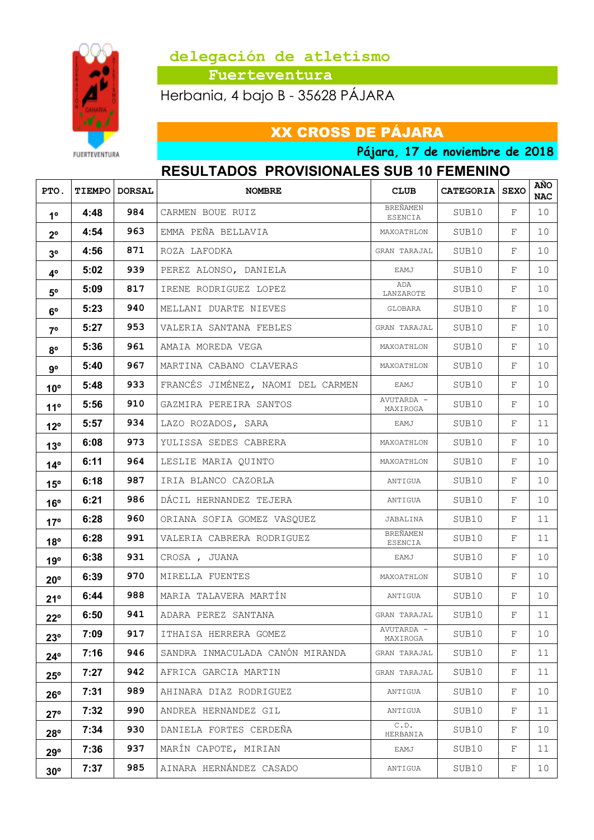

 **Fuerteventura**

Herbania, 4 bajo B - 35628 PÁJARA

## XX CROSS DE PÁJARA

**FUERTEVENTURA** 

**Pájara, 17 de noviembre de 2018**

#### **RESULTADOS PROVISIONALES SUB 10 FEMENINO**

| PTO.            |      | <b>TIEMPO   DORSAL</b> | <b>NOMBRE</b>                     | <b>CLUB</b>            | <b>CATEGORIA   SEXO</b> |   | <b>AÑO</b><br><b>NAC</b> |
|-----------------|------|------------------------|-----------------------------------|------------------------|-------------------------|---|--------------------------|
| 1 <sup>0</sup>  | 4:48 | 984                    | CARMEN BOUE RUIZ                  | BREÑAMEN<br>ESENCIA    | SUB10                   | F | 10                       |
| $2^{\circ}$     | 4:54 | 963                    | EMMA PEÑA BELLAVIA                | MAXOATHLON             | SUB10                   | F | 10                       |
| 3 <sup>o</sup>  | 4:56 | 871                    | ROZA LAFODKA                      | GRAN TARAJAL           | SUB10                   | F | 10                       |
| $4^{\circ}$     | 5:02 | 939                    | PEREZ ALONSO, DANIELA             | EAMJ                   | SUB10                   | F | 10                       |
| $5^{\circ}$     | 5:09 | 817                    | IRENE RODRIGUEZ LOPEZ             | ADA<br>LANZAROTE       | SUB10                   | F | 10                       |
| $6^{\circ}$     | 5:23 | 940                    | MELLANI DUARTE NIEVES             | GLOBARA                | SUB10                   | F | 10                       |
| 70              | 5:27 | 953                    | VALERIA SANTANA FEBLES            | GRAN TARAJAL           | SUB10                   | F | 10                       |
| $8^{\circ}$     | 5:36 | 961                    | AMAIA MOREDA VEGA                 | MAXOATHLON             | SUB10                   | F | 10                       |
| 9°              | 5:40 | 967                    | MARTINA CABANO CLAVERAS           | MAXOATHLON             | SUB10                   | F | 10                       |
| 10 <sup>o</sup> | 5:48 | 933                    | FRANCÉS JIMÉNEZ, NAOMI DEL CARMEN | EAMJ                   | SUB10                   | F | 10                       |
| 11 <sup>°</sup> | 5:56 | 910                    | GAZMIRA PEREIRA SANTOS            | AVUTARDA -<br>MAXIROGA | SUB10                   | F | 10                       |
| $12^{\circ}$    | 5:57 | 934                    | LAZO ROZADOS, SARA                | EAMJ                   | SUB10                   | F | 11                       |
| 13 <sup>o</sup> | 6:08 | 973                    | YULISSA SEDES CABRERA             | MAXOATHLON             | SUB10                   | F | 10                       |
| $14^{\circ}$    | 6:11 | 964                    | LESLIE MARIA QUINTO               | MAXOATHLON             | SUB10                   | F | 10                       |
| $15^{\circ}$    | 6:18 | 987                    | IRIA BLANCO CAZORLA               | ANTIGUA                | SUB10                   | F | 10                       |
| $16^{\circ}$    | 6:21 | 986                    | DÁCIL HERNANDEZ TEJERA            | ANTIGUA                | SUB10                   | F | 10                       |
| $17^{\circ}$    | 6:28 | 960                    | ORIANA SOFIA GOMEZ VASQUEZ        | JABALINA               | SUB10                   | F | 11                       |
| 18°             | 6:28 | 991                    | VALERIA CABRERA RODRIGUEZ         | BREÑAMEN<br>ESENCIA    | SUB10                   | F | 11                       |
| 19°             | 6:38 | 931                    | CROSA, JUANA                      | EAMJ                   | SUB10                   | F | 10                       |
| $20^{\circ}$    | 6:39 | 970                    | MIRELLA FUENTES                   | MAXOATHLON             | SUB10                   | F | 10                       |
| 21°             | 6:44 | 988                    | MARIA TALAVERA MARTÍN             | ANTIGUA                | SUB10                   | F | 10                       |
| $22^{\circ}$    | 6:50 | 941                    | ADARA PEREZ SANTANA               | GRAN TARAJAL           | SUB10                   | F | 11                       |
| 23°             | 7:09 | 917                    | ITHAISA HERRERA GOMEZ             | AVUTARDA -<br>MAXIROGA | SUB10                   | F | 10                       |
| $24^{\circ}$    | 7:16 | 946                    | SANDRA INMACULADA CANÓN MIRANDA   | GRAN TARAJAL           | SUB10                   | F | 11                       |
| $25^{\circ}$    | 7:27 | 942                    | AFRICA GARCIA MARTIN              | GRAN TARAJAL           | SUB10                   | F | 11                       |
| 26°             | 7:31 | 989                    | AHINARA DIAZ RODRIGUEZ            | ANTIGUA                | SUB10                   | F | 10                       |
| $27^\circ$      | 7:32 | 990                    | ANDREA HERNANDEZ GIL              | ANTIGUA                | SUB10                   | F | 11                       |
| 28°             | 7:34 | 930                    | DANIELA FORTES CERDEÑA            | C.D.<br>HERBANIA       | SUB10                   | F | 10                       |
| 29°             | 7:36 | 937                    | MARÍN CAPOTE, MIRIAN              | EAMJ                   | SUB10                   | F | 11                       |
| $30^\circ$      | 7:37 | 985                    | AINARA HERNÁNDEZ CASADO           | ANTIGUA                | SUB10                   | F | 10                       |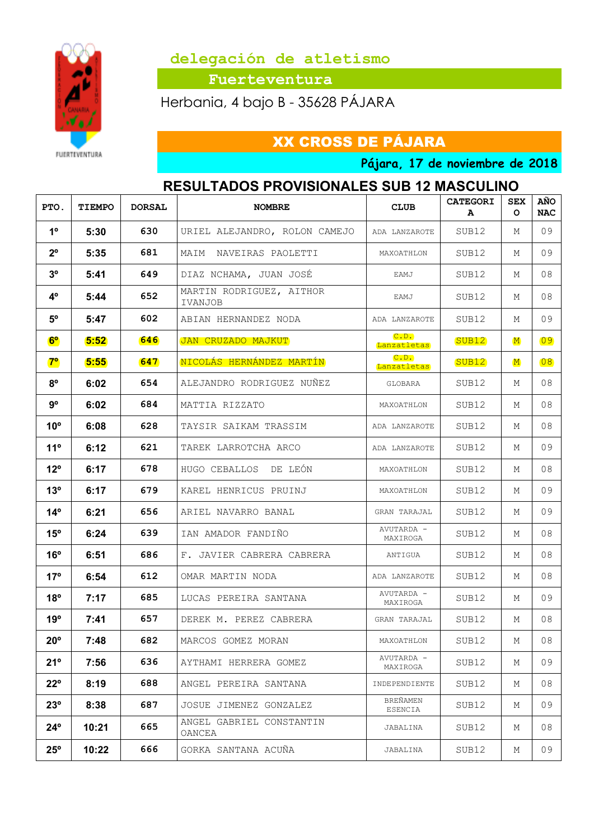

 **Fuerteventura**

Herbania, 4 bajo B - 35628 PÁJARA

XX CROSS DE PÁJARA

**Pájara, 17 de noviembre de 2018**

## **RESULTADOS PROVISIONALES SUB 12 MASCULINO**

| PTO.            | <b>TIEMPO</b> | <b>DORSAL</b> | <b>NOMBRE</b>                       | <b>CLUB</b>            | <b>CATEGORI</b><br>A | <b>SEX</b><br>$\circ$ | <b>AÑO</b><br><b>NAC</b> |
|-----------------|---------------|---------------|-------------------------------------|------------------------|----------------------|-----------------------|--------------------------|
| 1 <sup>0</sup>  | 5:30          | 630           | URIEL ALEJANDRO, ROLON CAMEJO       | ADA LANZAROTE          | SUB12                | М                     | 09                       |
| $2^{\circ}$     | 5:35          | 681           | MAIM NAVEIRAS PAOLETTI              | MAXOATHLON             | SUB12                | М                     | 09                       |
| 3 <sup>o</sup>  | 5:41          | 649           | DIAZ NCHAMA, JUAN JOSÉ              | EAMJ                   | SUB12                | М                     | 08                       |
| $4^{\circ}$     | 5:44          | 652           | MARTIN RODRIGUEZ, AITHOR<br>IVANJOB | EAMJ                   | SUB12                | М                     | 08                       |
| $5^{\circ}$     | 5:47          | 602           | ABIAN HERNANDEZ NODA                | ADA LANZAROTE          | SUB12                | М                     | 09                       |
| $6^{\circ}$     | 5:52          | <b>646</b>    | JAN CRUZADO MAJKUT                  | C. D.<br>Lanzatletas   | SUB <sub>12</sub>    | $\mathbf M$           | 09                       |
| $7^\circ$       | 5:55          | 647           | NICOLÁS HERNÁNDEZ MARTÍN            | C. D.<br>Lanzatletas   | SUB <sub>12</sub>    | $\mathbf{M}$          | 08                       |
| $8^{\circ}$     | 6:02          | 654           | ALEJANDRO RODRIGUEZ NUÑEZ           | GLOBARA                | SUB12                | М                     | 08                       |
| $9^{\circ}$     | 6:02          | 684           | MATTIA RIZZATO                      | MAXOATHLON             | SUB12                | М                     | 08                       |
| $10^{\circ}$    | 6:08          | 628           | TAYSIR SAIKAM TRASSIM               | ADA LANZAROTE          | SUB12                | М                     | 08                       |
| 11°             | 6:12          | 621           | TAREK LARROTCHA ARCO                | ADA LANZAROTE          | SUB12                | М                     | 09                       |
| $12^{\circ}$    | 6:17          | 678           | HUGO CEBALLOS DE LEÓN               | MAXOATHLON             | SUB12                | М                     | 08                       |
| 13 <sup>o</sup> | 6:17          | 679           | KAREL HENRICUS PRUINJ               | MAXOATHLON             | SUB12                | М                     | 09                       |
| $14^{\circ}$    | 6:21          | 656           | ARIEL NAVARRO BANAL                 | GRAN TARAJAL           | SUB12                | М                     | 09                       |
| $15^{\circ}$    | 6:24          | 639           | IAN AMADOR FANDIÑO                  | AVUTARDA -<br>MAXIROGA | SUB12                | М                     | 08                       |
| 16°             | 6:51          | 686           | F. JAVIER CABRERA CABRERA           | ANTIGUA                | SUB12                | М                     | 08                       |
| 17°             | 6:54          | 612           | OMAR MARTIN NODA                    | ADA LANZAROTE          | SUB12                | М                     | 08                       |
| $18^{\circ}$    | 7:17          | 685           | LUCAS PEREIRA SANTANA               | AVUTARDA -<br>MAXIROGA | SUB12                | М                     | 09                       |
| 19°             | 7:41          | 657           | DEREK M. PEREZ CABRERA              | GRAN TARAJAL           | SUB12                | М                     | 08                       |
| $20^{\circ}$    | 7:48          | 682           | MARCOS GOMEZ MORAN                  | MAXOATHLON             | SUB12                | М                     | 08                       |
| 21°             | 7:56          | 636           | AYTHAMI HERRERA GOMEZ               | AVUTARDA -<br>MAXIROGA | SUB12                | М                     | 09                       |
| $22^{\circ}$    | 8:19          | 688           | ANGEL PEREIRA SANTANA               | INDEPENDIENTE          | SUB12                | Μ                     | 08                       |
| 23°             | 8:38          | 687           | JOSUE JIMENEZ GONZALEZ              | BREÑAMEN<br>ESENCIA    | SUB12                | М                     | 09                       |
| $24^{\circ}$    | 10:21         | 665           | ANGEL GABRIEL CONSTANTIN<br>OANCEA  | JABALINA               | SUB12                | М                     | 08                       |
| $25^{\circ}$    | 10:22         | 666           | GORKA SANTANA ACUÑA                 | JABALINA               | SUB12                | М                     | 09                       |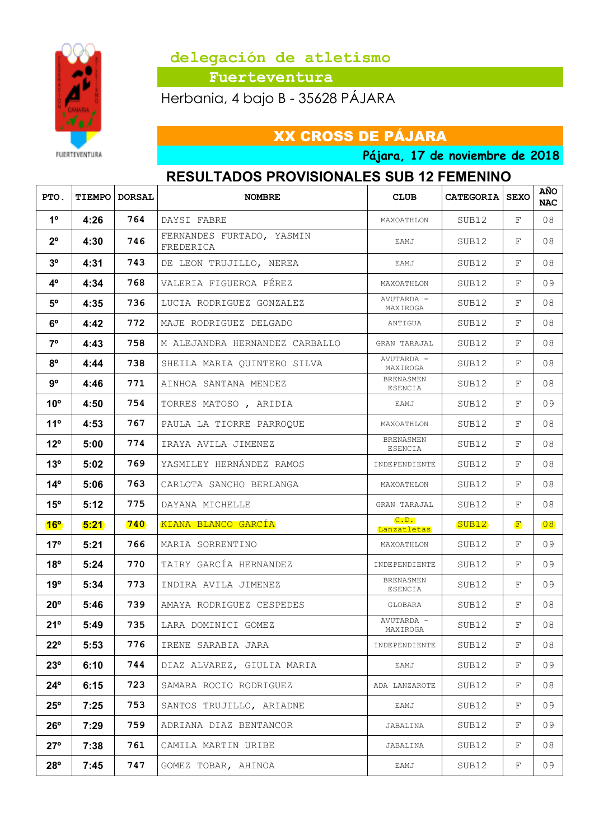

 **Fuerteventura**

Herbania, 4 bajo B - 35628 PÁJARA

#### **FUERTEVENTURA**

XX CROSS DE PÁJARA

**Pájara, 17 de noviembre de 2018**

## **RESULTADOS PROVISIONALES SUB 12 FEMENINO**

| PTO.            |      | <b>TIEMPO   DORSAL</b> | <b>NOMBRE</b>                          | <b>CLUB</b>                 | <b>CATEGORIA   SEXO</b> |              | AÑO<br><b>NAC</b> |
|-----------------|------|------------------------|----------------------------------------|-----------------------------|-------------------------|--------------|-------------------|
| 1 <sup>°</sup>  | 4:26 | 764                    | DAYSI FABRE                            | MAXOATHLON                  | SUB12                   | F            | 08                |
| $2^{\circ}$     | 4:30 | 746                    | FERNANDES FURTADO, YASMIN<br>FREDERICA | EAMJ                        | SUB12                   | F            | 08                |
| 3 <sup>o</sup>  | 4:31 | 743                    | DE LEON TRUJILLO, NEREA                | EAMJ                        | SUB12                   | F            | 08                |
| 4 <sup>o</sup>  | 4:34 | 768                    | VALERIA FIGUEROA PÉREZ                 | MAXOATHLON                  | SUB12                   | F            | 09                |
| $5^{\circ}$     | 4:35 | 736                    | LUCIA RODRIGUEZ GONZALEZ               | AVUTARDA -<br>MAXIROGA      | SUB12                   | F            | 08                |
| $6^{\circ}$     | 4:42 | 772                    | MAJE RODRIGUEZ DELGADO                 | ANTIGUA                     | SUB12                   | F            | 08                |
| $7^{\circ}$     | 4:43 | 758                    | M ALEJANDRA HERNANDEZ CARBALLO         | GRAN TARAJAL                | SUB12                   | F            | 08                |
| $8^{\circ}$     | 4:44 | 738                    | SHEILA MARIA QUINTERO SILVA            | AVUTARDA -<br>MAXIROGA      | SUB12                   | F            | 08                |
| $9^{\circ}$     | 4:46 | 771                    | AINHOA SANTANA MENDEZ                  | BRENASMEN<br>ESENCIA        | SUB12                   | F            | 08                |
| 10 <sup>o</sup> | 4:50 | 754                    | TORRES MATOSO, ARIDIA                  | EAMJ                        | SUB12                   | F            | 09                |
| $11^{\circ}$    | 4:53 | 767                    | PAULA LA TIORRE PARROQUE               | MAXOATHLON                  | SUB12                   | F            | 08                |
| $12^{\circ}$    | 5:00 | 774                    | IRAYA AVILA JIMENEZ                    | <b>BRENASMEN</b><br>ESENCIA | SUB12                   | F            | 08                |
| 13 <sup>°</sup> | 5:02 | 769                    | YASMILEY HERNÁNDEZ RAMOS               | INDEPENDIENTE               | SUB12                   | F            | 08                |
| $14^{\circ}$    | 5:06 | 763                    | CARLOTA SANCHO BERLANGA                | MAXOATHLON                  | SUB12                   | F            | 08                |
| $15^{\circ}$    | 5:12 | 775                    | DAYANA MICHELLE                        | GRAN TARAJAL                | SUB12                   | F            | 08                |
| $16^{\circ}$    | 5:21 | 740                    | KIANA BLANCO GARCÍA                    | C.D.<br>Lanzatletas         | SUB <sub>12</sub>       | $\mathbf{F}$ | 08                |
| 17°             | 5:21 | 766                    | MARIA SORRENTINO                       | MAXOATHLON                  | SUB12                   | F            | 09                |
| $18^{\circ}$    | 5:24 | 770                    | TAIRY GARCÍA HERNANDEZ                 | INDEPENDIENTE               | SUB12                   | F            | 09                |
| 19°             | 5:34 | 773                    | INDIRA AVILA JIMENEZ                   | BRENASMEN<br>ESENCIA        | SUB12                   | F            | 09                |
| $20^{\circ}$    | 5:46 | 739                    | AMAYA RODRIGUEZ CESPEDES               | GLOBARA                     | SUB12                   | F            | 08                |
| 21°             | 5:49 | 735                    | LARA DOMINICI GOMEZ                    | AVUTARDA -<br>MAXIROGA      | SUB12                   | F            | 08                |
| $22^{\circ}$    | 5:53 | 776                    | IRENE SARABIA JARA                     | INDEPENDIENTE               | SUB12                   | F            | 08                |
| 23°             | 6:10 | 744                    | DIAZ ALVAREZ, GIULIA MARIA             | EAMJ                        | SUB12                   | F            | 09                |
| $24^{\circ}$    | 6:15 | 723                    | SAMARA ROCIO RODRIGUEZ                 | ADA LANZAROTE               | SUB12                   | F            | 08                |
| $25^{\circ}$    | 7:25 | 753                    | SANTOS TRUJILLO, ARIADNE               | EAMJ                        | SUB12                   | F            | 09                |
| $26^{\circ}$    | 7:29 | 759                    | ADRIANA DIAZ BENTANCOR                 | JABALINA                    | SUB12                   | F            | 09                |
| $27^{\circ}$    | 7:38 | 761                    | CAMILA MARTIN URIBE                    | JABALINA                    | SUB12                   | F            | 08                |
| 28°             | 7:45 | 747                    | GOMEZ TOBAR, AHINOA                    | EAMJ                        | SUB12                   | F            | 09                |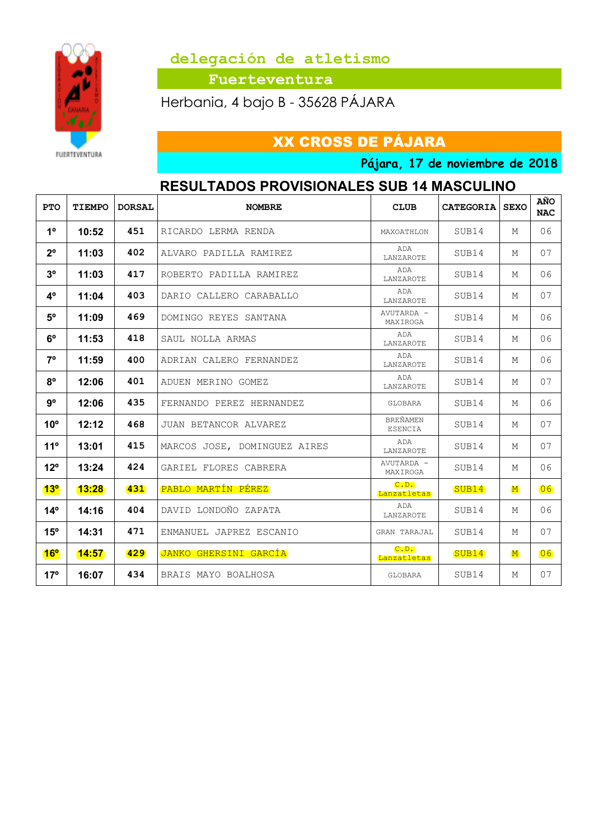

 **Fuerteventura**

Herbania, 4 bajo B - 35628 PÁJARA

XX CROSS DE PÁJARA

**Pájara, 17 de noviembre de 2018**

## **RESULTADOS PROVISIONALES SUB 14 MASCULINO**

| <b>PTO</b>      | TIEMPO | <b>DORSAL</b> | <b>NOMBRE</b>                | <b>CLUB</b>                       | <b>CATEGORIA SEXO</b> |             | AÑO<br><b>NAC</b> |
|-----------------|--------|---------------|------------------------------|-----------------------------------|-----------------------|-------------|-------------------|
| 1 <sup>°</sup>  | 10:52  | 451           | RICARDO LERMA RENDA          | MAXOATHLON                        | SUB14                 | М           | 06                |
| $2^{\circ}$     | 11:03  | 402           | ALVARO PADILLA RAMIREZ       | ADA<br>LANZAROTE                  | SUB14                 | М           | 07                |
| 3 <sup>o</sup>  | 11:03  | 417           | ROBERTO PADILLA RAMIREZ      | ADA<br>LANZAROTE                  | SUB14                 | М           | 06                |
| 4 <sup>o</sup>  | 11:04  | 403           | DARIO CALLERO CARABALLO      | ADA<br>LANZAROTE                  | SUB14                 | М           | 07                |
| $5^{\circ}$     | 11:09  | 469           | DOMINGO REYES SANTANA        | AVUTARDA -<br>MAXIROGA            | SUB14                 | М           | 06                |
| $6^{\circ}$     | 11:53  | 418           | SAUL NOLLA ARMAS             | ADA<br>LANZAROTE                  | SUB14                 | М           | 06                |
| 7°              | 11:59  | 400           | ADRIAN CALERO FERNANDEZ      | ADA<br>LANZAROTE                  | SUB14                 | М           | 06                |
| $8^{\circ}$     | 12:06  | 401           | ADUEN MERINO GOMEZ           | ADA<br>LANZAROTE                  | SUB14                 | М           | 07                |
| 9°              | 12:06  | 435           | FERNANDO PEREZ HERNANDEZ     | GLOBARA                           | SUB14                 | М           | 06                |
| 10 <sup>o</sup> | 12:12  | 468           | JUAN BETANCOR ALVAREZ        | <b>BREÑAMEN</b><br><b>ESENCIA</b> | SUB14                 | М           | 07                |
| 11°             | 13:01  | 415           | MARCOS JOSE, DOMINGUEZ AIRES | ADA<br>LANZAROTE                  | SUB14                 | М           | 07                |
| $12^{\circ}$    | 13:24  | 424           | GARIEL FLORES CABRERA        | AVUTARDA -<br>MAXIROGA            | SUB14                 | М           | 06                |
| 13 <sup>o</sup> | 13:28  | 431           | PABLO MARTÍN PÉREZ           | C. D.<br>Lanzatletas              | SUB <sub>14</sub>     | $\mathbf M$ | 06                |
| $14^{\circ}$    | 14:16  | 404           | DAVID LONDOÑO ZAPATA         | ADA<br>LANZAROTE                  | SUB14                 | М           | 06                |
| $15^{\circ}$    | 14:31  | 471           | ENMANUEL JAPREZ ESCANIO      | GRAN TARAJAL                      | SUB14                 | М           | 07                |
| 16 <sup>o</sup> | 14:57  | 429           | JANKO GHERSINI GARCÍA        | C.D.<br>Lanzatletas               | SUB14                 | $\mathbf M$ | 06                |
| $17^{\circ}$    | 16:07  | 434           | BRAIS MAYO BOALHOSA          | GLOBARA                           | SUB14                 | М           | 07                |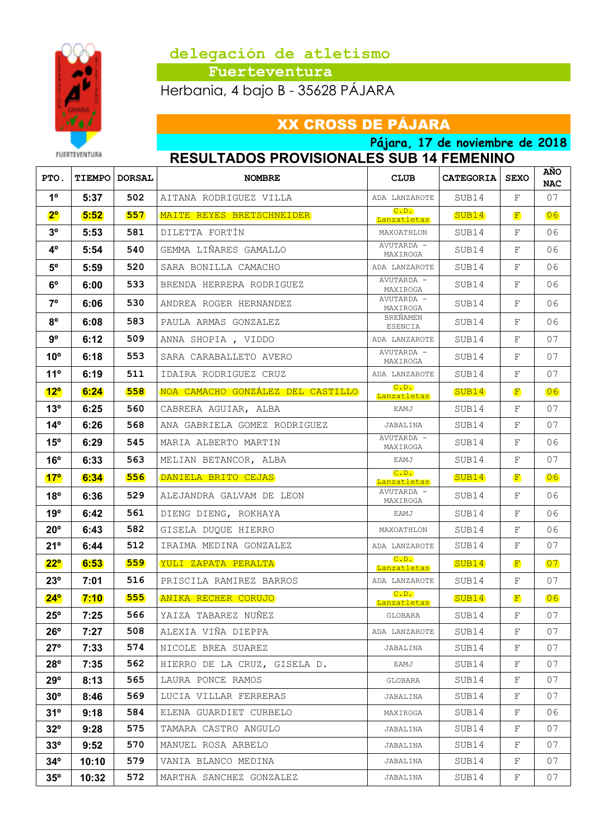

 **Fuerteventura**

Herbania, 4 bajo B - 35628 PÁJARA

# XX CROSS DE PÁJARA

**Pájara, 17 de noviembre de 2018 RESULTADOS PROVISIONALES SUB 14 FEMENINO**

| PTO.            |       | <b>TIEMPO   DORSAL</b> | <b>NOMBRE</b>                     | <b>CLUB</b>            | <b>CATEGORIA   SEXO</b> |              | <b>ANO</b><br><b>NAC</b> |
|-----------------|-------|------------------------|-----------------------------------|------------------------|-------------------------|--------------|--------------------------|
| 1 <sup>0</sup>  | 5:37  | 502                    | AITANA RODRIGUEZ VILLA            | ADA LANZAROTE          | SUB14                   | F            | 07                       |
| 2 <sup>o</sup>  | 5:52  | 557                    | MAITE REYES BRETSCHNEIDER         | C.D.<br>Lanzatletas    | SUB14                   | $\mathbf{F}$ | 06                       |
| 3 <sup>o</sup>  | 5:53  | 581                    | DILETTA FORTÍN                    | MAXOATHLON             | SUB14                   | F            | 06                       |
| 4 <sup>o</sup>  | 5:54  | 540                    | GEMMA LIÑARES GAMALLO             | AVUTARDA -<br>MAXIROGA | SUB14                   | F            | 06                       |
| $5^{\circ}$     | 5:59  | 520                    | SARA BONILLA CAMACHO              | ADA LANZAROTE          | SUB14                   | F            | 06                       |
| $6^{\circ}$     | 6:00  | 533                    | BRENDA HERRERA RODRIGUEZ          | AVUTARDA -<br>MAXIROGA | SUB14                   | F            | 06                       |
| $7^{\circ}$     | 6:06  | 530                    | ANDREA ROGER HERNANDEZ            | AVUTARDA -<br>MAXIROGA | SUB14                   | F            | 06                       |
| $8^{\circ}$     | 6:08  | 583                    | PAULA ARMAS GONZALEZ              | BREÑAMEN<br>ESENCIA    | SUB14                   | F            | 06                       |
| 9°              | 6:12  | 509                    | ANNA SHOPIA, VIDDO                | ADA LANZAROTE          | SUB14                   | F            | 07                       |
| $10^{\circ}$    | 6:18  | 553                    | SARA CARABALLETO AVERO            | AVUTARDA -<br>MAXIROGA | SUB14                   | F            | 07                       |
| $11^{\circ}$    | 6:19  | 511                    | IDAIRA RODRIGUEZ CRUZ             | ADA LANZAROTE          | SUB14                   | F            | 07                       |
| $12^{\circ}$    | 6:24  | 558                    | NOA CAMACHO GONZÁLEZ DEL CASTILLO | C. D.<br>Lanzatletas   | SUB14                   | $\mathbf{F}$ | 06                       |
| $13^{\circ}$    | 6:25  | 560                    | CABRERA AGUIAR, ALBA              | EAMJ                   | SUB14                   | F            | 07                       |
| $14^{\circ}$    | 6:26  | 568                    | ANA GABRIELA GOMEZ RODRIGUEZ      | JABALINA               | SUB14                   | F            | 07                       |
| $15^{\circ}$    | 6:29  | 545                    | MARIA ALBERTO MARTIN              | AVUTARDA -<br>MAXIROGA | SUB14                   | F            | 06                       |
| $16^{\circ}$    | 6:33  | 563                    | MELIAN BETANCOR, ALBA             | EAMJ                   | SUB14                   | F            | 07                       |
| 17 <sup>°</sup> | 6:34  | 556                    | DANIELA BRITO CEJAS               | C. D.<br>Lanzatletas   | SUB14                   | $\mathbf{F}$ | 06                       |
| $18^{\circ}$    | 6:36  | 529                    | ALEJANDRA GALVAM DE LEON          | AVUTARDA -<br>MAXIROGA | SUB14                   | F            | 06                       |
| 19°             | 6:42  | 561                    | DIENG DIENG, ROKHAYA              | EAMJ                   | SUB14                   | F            | 06                       |
| $20^{\circ}$    | 6:43  | 582                    | GISELA DUQUE HIERRO               | MAXOATHLON             | SUB14                   | F            | 06                       |
| 21°             | 6:44  | 512                    | IRAIMA MEDINA GONZALEZ            | ADA LANZAROTE          | SUB14                   | F            | 07                       |
| $22^{\circ}$    | 6:53  | 559                    | YULI ZAPATA PERALTA               | C. D.<br>Lanzatletas   | SUB14                   | F            | 07                       |
| $23^{\circ}$    | 7:01  | 516                    | PRISCILA RAMIREZ BARROS           | ADA LANZAROTE          | SUB14                   | F            | 07                       |
| $24^{\circ}$    | 7:10  | 555                    | <b>ANIKA RECHER CORUJO</b>        | C. D.<br>Lanzatletas   | SUB14                   | $\mathbf{F}$ | 06                       |
| $25^{\circ}$    | 7:25  | 566                    | YAIZA TABAREZ NUÑEZ               | GLOBARA                | SUB14                   | $\mathbf{F}$ | 07                       |
| $26^{\circ}$    | 7:27  | 508                    | ALEXIA VIÑA DIEPPA                | ADA LANZAROTE          | SUB14                   | F            | 07                       |
| $27^\circ$      | 7:33  | 574                    | NICOLE BREA SUAREZ                | JABALINA               | SUB14                   | F            | 07                       |
| $28^{\circ}$    | 7:35  | 562                    | HIERRO DE LA CRUZ, GISELA D.      | EAMJ                   | SUB14                   | F            | 07                       |
| $29^\circ$      | 8:13  | 565                    | LAURA PONCE RAMOS                 | GLOBARA                | SUB14                   | F            | 07                       |
| $30^\circ$      | 8:46  | 569                    | LUCIA VILLAR FERRERAS             | JABALINA               | SUB14                   | F            | 07                       |
| $31^\circ$      | 9:18  | 584                    | ELENA GUARDIET CURBELO            | MAXIROGA               | SUB14                   | F            | 06                       |
| $32^{\circ}$    | 9:28  | 575                    | TAMARA CASTRO ANGULO              | JABALINA               | SUB14                   | F            | 07                       |
| $33^\circ$      | 9:52  | 570                    | MANUEL ROSA ARBELO                | JABALINA               | SUB14                   | F            | 07                       |
| $34^\circ$      | 10:10 | 579                    | VANIA BLANCO MEDINA               | JABALINA               | SUB14                   | F            | 07                       |
| $35^\circ$      | 10:32 | 572                    | MARTHA SANCHEZ GONZALEZ           | JABALINA               | SUB14                   | F            | 07                       |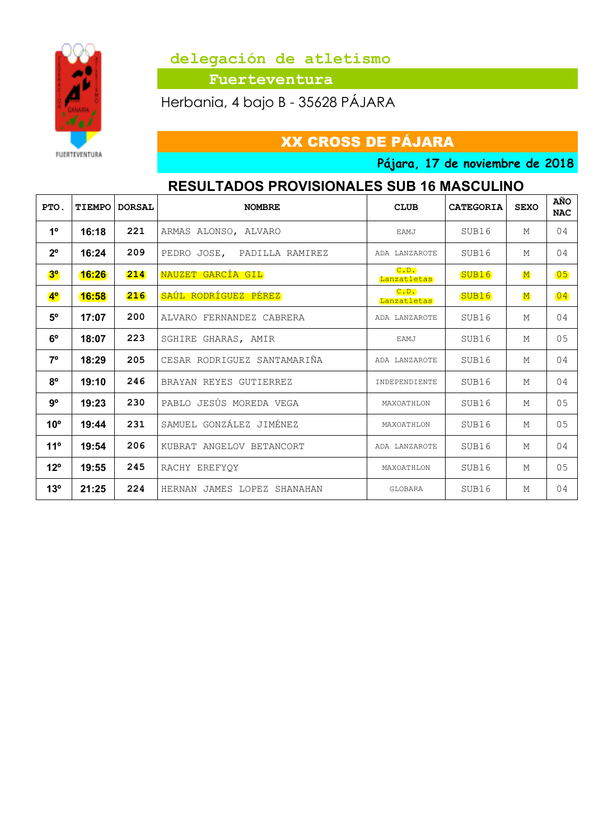

 **Fuerteventura**

Herbania, 4 bajo B - 35628 PÁJARA

XX CROSS DE PÁJARA

**Pájara, 17 de noviembre de 2018**

## **RESULTADOS PROVISIONALES SUB 16 MASCULINO**

| PTO.           | TIEMPO | <b>DORSAL</b> | <b>NOMBRE</b>               | <b>CLUB</b>          | <b>CATEGORIA</b>  | <b>SEXO</b> | AÑO<br><b>NAC</b> |
|----------------|--------|---------------|-----------------------------|----------------------|-------------------|-------------|-------------------|
| 1 <sup>°</sup> | 16:18  | 221           | ARMAS ALONSO, ALVARO        | EAMJ                 | SUB16             | М           | 04                |
| $2^{\circ}$    | 16:24  | 209           | PEDRO JOSE, PADILLA RAMIREZ | ADA LANZAROTE        | SUB16             | М           | 04                |
| 3 <sup>o</sup> | 16:26  | 214           | NAUZET GARCÍA GIL           | C.D.<br>Lanzatletas  | SUB <sub>16</sub> | $\mathbf M$ | $\boxed{05}$      |
| 4 <sup>°</sup> | 16:58  | 216           | SAÚL RODRÍGUEZ PÉREZ        | C. D.<br>Lanzatletas | SUB16             | $\mathbf M$ | $\overline{04}$   |
| $5^{\circ}$    | 17:07  | 200           | ALVARO FERNANDEZ CABRERA    | ADA LANZAROTE        | SUB16             | М           | 0 <sub>4</sub>    |
| $6^{\circ}$    | 18:07  | 223           | SGHIRE GHARAS, AMIR         | EAMJ                 | SUB16             | М           | 0.5               |
| $7^{\circ}$    | 18:29  | 205           | CESAR RODRIGUEZ SANTAMARIÑA | ADA LANZAROTE        | SUB16             | М           | 04                |
| $8^{\circ}$    | 19:10  | 246           | BRAYAN REYES GUTIERREZ      | INDEPENDIENTE        | SUB16             | М           | 04                |
| $9^{\circ}$    | 19:23  | 230           | PABLO JESÚS MOREDA VEGA     | MAXOATHLON           | SUB16             | М           | 05                |
| $10^{\circ}$   | 19:44  | 231           | SAMUEL GONZÁLEZ JIMÉNEZ     | MAXOATHLON           | SUB16             | М           | 0.5               |
| 11°            | 19:54  | 206           | KUBRAT ANGELOV BETANCORT    | ADA LANZAROTE        | SUB16             | М           | 04                |
| $12^{\circ}$   | 19:55  | 245           | RACHY EREFYOY               | MAXOATHLON           | SUB16             | М           | 05                |
| $13^{\circ}$   | 21:25  | 224           | HERNAN JAMES LOPEZ SHANAHAN | GLOBARA              | SUB16             | М           | 0 <sub>4</sub>    |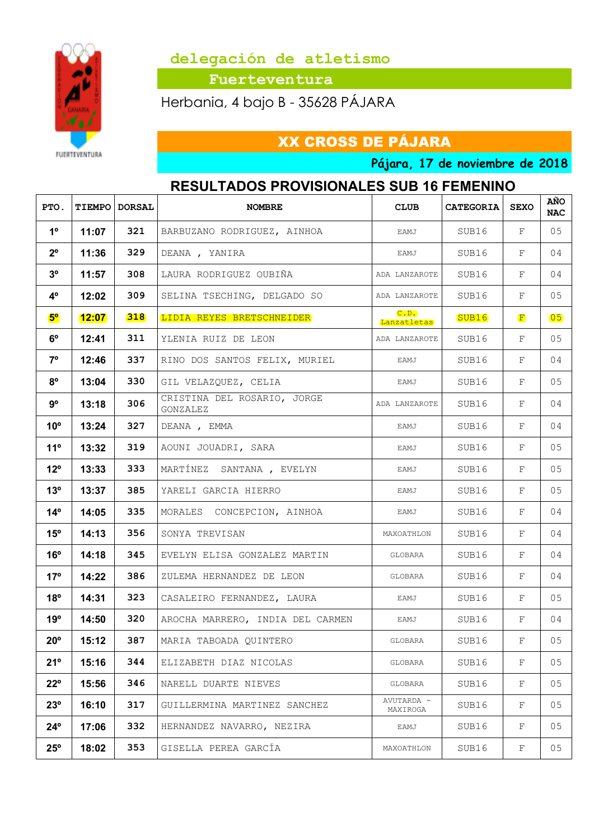

 **Fuerteventura**

Herbania, 4 bajo B - 35628 PÁJARA

XX CROSS DE PÁJARA

**Pájara, 17 de noviembre de 2018**

## **RESULTADOS PROVISIONALES SUB 16 FEMENINO**

| PTO.           | <b>TIEMPO</b> | <b>DORSAL</b> | <b>NOMBRE</b>                           | <b>CLUB</b>            | <b>CATEGORIA</b> | <b>SEXO</b>  | AÑO<br><b>NAC</b> |
|----------------|---------------|---------------|-----------------------------------------|------------------------|------------------|--------------|-------------------|
| 1 <sup>0</sup> | 11:07         | 321           | BARBUZANO RODRIGUEZ, AINHOA             | EAMJ                   | SUB16            | F            | 05                |
| $2^{\circ}$    | 11:36         | 329           | DEANA, YANIRA                           | EAMJ                   | SUB16            | F            | 04                |
| 3 <sup>o</sup> | 11:57         | 308           | LAURA RODRIGUEZ OUBIÑA                  | ADA LANZAROTE          | SUB16            | F            | 04                |
| 4°             | 12:02         | 309           | SELINA TSECHING, DELGADO SO             | ADA LANZAROTE          | SUB16            | F            | 05                |
| $5^{\circ}$    | 12:07         | 318           | LIDIA REYES BRETSCHNEIDER               | C. D.<br>Lanzatletas   | SUB16            | $\mathbf{F}$ | $\overline{05}$   |
| $6^{\circ}$    | 12:41         | 311           | YLENIA RUIZ DE LEON                     | ADA LANZAROTE          | SUB16            | F            | 05                |
| $7^{\circ}$    | 12:46         | 337           | RINO DOS SANTOS FELIX, MURIEL           | EAMJ                   | SUB16            | F            | 04                |
| $8^{\circ}$    | 13:04         | 330           | GIL VELAZQUEZ, CELIA                    | EAMJ                   | SUB16            | F            | 05                |
| $9^{\circ}$    | 13:18         | 306           | CRISTINA DEL ROSARIO, JORGE<br>GONZALEZ | ADA LANZAROTE          | SUB16            | F            | 04                |
| $10^{\circ}$   | 13:24         | 327           | DEANA, EMMA                             | EAMJ                   | SUB16            | F            | 04                |
| $11^{\circ}$   | 13:32         | 319           | AOUNI JOUADRI, SARA                     | EAMJ                   | SUB16            | F            | 05                |
| $12^{\circ}$   | 13:33         | 333           | MARTÍNEZ SANTANA, EVELYN                | EAMJ                   | SUB16            | F            | 05                |
| $13^{\circ}$   | 13:37         | 385           | YARELI GARCIA HIERRO                    | EAMJ                   | SUB16            | F            | 05                |
| $14^{\circ}$   | 14:05         | 335           | MORALES CONCEPCION, AINHOA              | EAMJ                   | SUB16            | F            | 04                |
| $15^{\circ}$   | 14:13         | 356           | SONYA TREVISAN                          | MAXOATHLON             | SUB16            | F            | 04                |
| $16^{\circ}$   | 14:18         | 345           | EVELYN ELISA GONZALEZ MARTIN            | GLOBARA                | SUB16            | F            | 04                |
| $17^{\circ}$   | 14:22         | 386           | ZULEMA HERNANDEZ DE LEON                | GLOBARA                | SUB16            | F            | 04                |
| $18^{\circ}$   | 14:31         | 323           | CASALEIRO FERNANDEZ, LAURA              | EAMJ                   | SUB16            | F            | 05                |
| 19°            | 14:50         | 320           | AROCHA MARRERO, INDIA DEL CARMEN        | EAMJ                   | SUB16            | F            | 04                |
| $20^{\circ}$   | 15:12         | 387           | MARIA TABOADA QUINTERO                  | GLOBARA                | SUB16            | F            | 05                |
| 21°            | 15:16         | 344           | ELIZABETH DIAZ NICOLAS                  | GLOBARA                | SUB16            | F            | 05                |
| $22^{\circ}$   | 15:56         | 346           | NARELL DUARTE NIEVES                    | GLOBARA                | SUB16            | F            | 05                |
| 23°            | 16:10         | 317           | GUILLERMINA MARTINEZ SANCHEZ            | AVUTARDA -<br>MAXIROGA | SUB16            | F            | 05                |
| $24^{\circ}$   | 17:06         | 332           | HERNANDEZ NAVARRO, NEZIRA               | EAMJ                   | SUB16            | F            | 05                |
| $25^{\circ}$   | 18:02         | 353           | GISELLA PEREA GARCÍA                    | MAXOATHLON             | SUB16            | F            | 05                |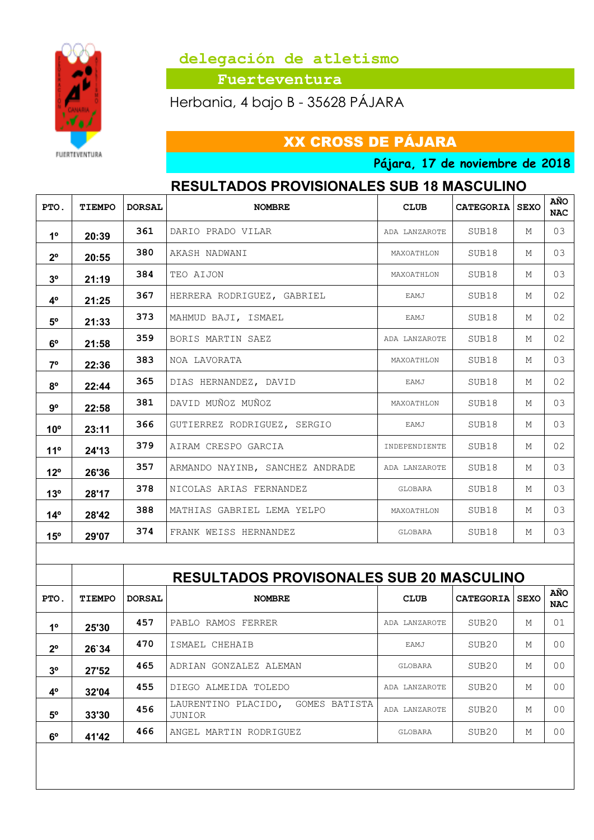

 **Fuerteventura**

Herbania, 4 bajo B - 35628 PÁJARA

## XX CROSS DE PÁJARA

**Pájara, 17 de noviembre de 2018**

## **RESULTADOS PROVISIONALES SUB 18 MASCULINO**

| PTO.            | TIEMPO | <b>DORSAL</b> | <b>NOMBRE</b>                   | <b>CLUB</b>   | <b>CATEGORIA SEXO</b> |   | AÑO<br><b>NAC</b> |
|-----------------|--------|---------------|---------------------------------|---------------|-----------------------|---|-------------------|
| 1 <sup>0</sup>  | 20:39  | 361           | DARIO PRADO VILAR               | ADA LANZAROTE | SUB18                 | М | 03                |
| $2^{\circ}$     | 20:55  | 380           | AKASH NADWANI                   | MAXOATHLON    | SUB18                 | М | 03                |
| 3 <sup>o</sup>  | 21:19  | 384           | TEO AIJON                       | MAXOATHLON    | SUB18                 | М | 03                |
| 4°              | 21:25  | 367           | HERRERA RODRIGUEZ, GABRIEL      | EAMJ          | SUB18                 | М | 02                |
| $5^{\circ}$     | 21:33  | 373           | MAHMUD BAJI, ISMAEL             | EAMJ          | SUB18                 | М | 02                |
| $6^{\circ}$     | 21:58  | 359           | BORIS MARTIN SAEZ               | ADA LANZAROTE | SUB18                 | М | 02                |
| <b>7°</b>       | 22:36  | 383           | NOA LAVORATA                    | MAXOATHLON    | SUB18                 | М | 03                |
| $8^{\circ}$     | 22:44  | 365           | DIAS HERNANDEZ, DAVID           | EAMJ          | SUB18                 | М | 02                |
| $9^{\circ}$     | 22:58  | 381           | DAVID MUÑOZ MUÑOZ               | MAXOATHLON    | SUB18                 | М | 03                |
| 10 <sup>o</sup> | 23:11  | 366           | GUTIERREZ RODRIGUEZ, SERGIO     | EAMJ          | SUB18                 | М | 03                |
| $11^{\circ}$    | 24'13  | 379           | AIRAM CRESPO GARCIA             | INDEPENDIENTE | SUB18                 | М | 02                |
| $12^{\circ}$    | 26'36  | 357           | ARMANDO NAYINB, SANCHEZ ANDRADE | ADA LANZAROTE | SUB18                 | М | 03                |
| $13^{\circ}$    | 28'17  | 378           | NICOLAS ARIAS FERNANDEZ         | GLOBARA       | SUB18                 | М | 03                |
| $14^{\circ}$    | 28'42  | 388           | MATHIAS GABRIEL LEMA YELPO      | MAXOATHLON    | SUB18                 | М | 03                |
| $15^{\circ}$    | 29'07  | 374           | FRANK WEISS HERNANDEZ           | GLOBARA       | SUB18                 | М | 03                |

|                |               |               | <b>RESULTADOS PROVISONALES SUB 20 MASCULINO</b>      |                  |                   |             |                   |  |  |  |  |
|----------------|---------------|---------------|------------------------------------------------------|------------------|-------------------|-------------|-------------------|--|--|--|--|
| PTO.           | <b>TIEMPO</b> | <b>DORSAL</b> | <b>NOMBRE</b>                                        | <b>CLUB</b>      | <b>CATEGORIA</b>  | <b>SEXO</b> | AÑO<br><b>NAC</b> |  |  |  |  |
| 1 <sup>0</sup> | 25'30         | 457           | RAMOS<br>FERRER<br>PABLO                             | ADA LANZAROTE    | SUB <sub>20</sub> | М           | 01                |  |  |  |  |
| $2^{\circ}$    | 26`34         | 470           | ISMAEL CHEHAIB                                       | EAMJ             | SUB <sub>20</sub> | М           | 0 <sub>0</sub>    |  |  |  |  |
| 3 <sup>o</sup> | 27'52         | 465           | GONZALEZ ALEMAN<br>ADRIAN                            | GLOBARA          | SUB <sub>20</sub> | М           | 0 <sub>0</sub>    |  |  |  |  |
| $4^{\circ}$    | 32'04         | 455           | ALMEIDA TOLEDO<br>DIEGO                              | LANZAROTE<br>ADA | SUB <sub>20</sub> | М           | 0 <sub>0</sub>    |  |  |  |  |
| $5^{\circ}$    | 33'30         | 456           | GOMES<br>LAURENTINO<br>PLACIDO,<br>BATISTA<br>JUNIOR | ADA LANZAROTE    | SUB20             | M           | 0 <sub>0</sub>    |  |  |  |  |
| $6^{\circ}$    | 41'42         | 466           | ANGEL MARTIN RODRIGUEZ                               | GLOBARA          | SUB <sub>20</sub> | М           | 0 <sup>0</sup>    |  |  |  |  |
|                |               |               |                                                      |                  |                   |             |                   |  |  |  |  |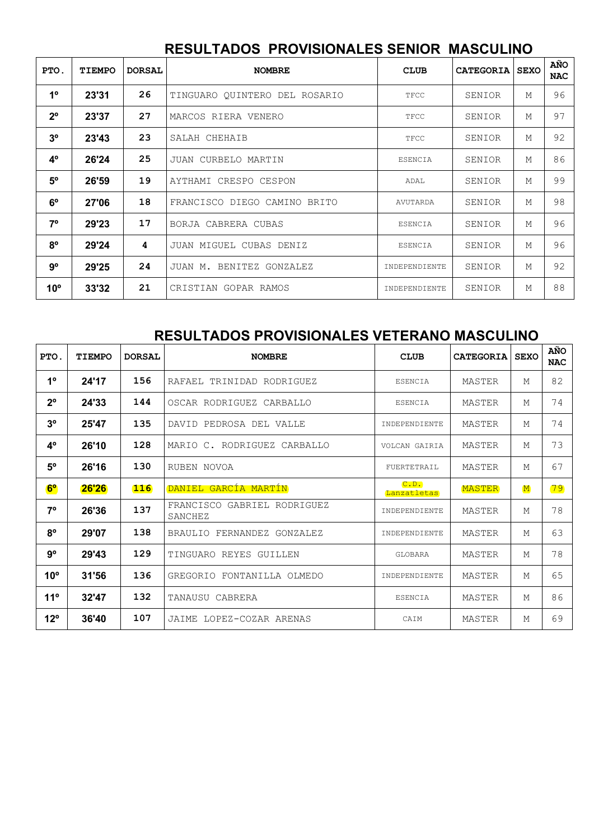#### **RESULTADOS PROVISIONALES SENIOR MASCULINO**

| PTO.           | TIEMPO | <b>DORSAL</b> | <b>NOMBRE</b>                 | <b>CLUB</b>    | <b>CATEGORIA</b> | <b>SEXO</b> | AÑO<br><b>NAC</b> |
|----------------|--------|---------------|-------------------------------|----------------|------------------|-------------|-------------------|
| 1 <sup>°</sup> | 23'31  | 26            | TINGUARO QUINTERO DEL ROSARIO | TFCC           | SENIOR           | М           | 96                |
| $2^{\circ}$    | 23'37  | 27            | MARCOS RIERA VENERO           | TFCC           | SENIOR           | М           | 97                |
| 3 <sup>o</sup> | 23'43  | 23            | SALAH CHEHAIB                 | TFCC           | SENIOR           | М           | 92                |
| $4^{\circ}$    | 26'24  | 25            | JUAN CURBELO MARTIN           | <b>ESENCIA</b> | SENIOR           | М           | 86                |
| $5^{\circ}$    | 26'59  | 19            | AYTHAMI CRESPO CESPON         | ADAL           | SENIOR           | М           | 99                |
| $6^{\circ}$    | 27'06  | 18            | FRANCISCO DIEGO CAMINO BRITO  | AVUTARDA       | SENIOR           | М           | 98                |
| $7^\circ$      | 29'23  | 17            | BORJA CABRERA CUBAS           | <b>ESENCIA</b> | SENIOR           | М           | 96                |
| $8^{\circ}$    | 29'24  | 4             | JUAN MIGUEL CUBAS DENIZ       | <b>ESENCIA</b> | SENIOR           | М           | 96                |
| $9^{\circ}$    | 29'25  | 24            | JUAN M. BENITEZ GONZALEZ      | INDEPENDIENTE  | SENIOR           | М           | 92                |
| $10^{\circ}$   | 33'32  | 21            | CRISTIAN GOPAR RAMOS          | INDEPENDIENTE  | SENIOR           | М           | 88                |

#### **RESULTADOS PROVISIONALES VETERANO MASCULINO**

| PTO.           | <b>TIEMPO</b> | <b>DORSAL</b> | <b>NOMBRE</b>                             | <b>CLUB</b>          | <b>CATEGORIA</b> | <b>SEXO</b> | AÑO<br><b>NAC</b> |
|----------------|---------------|---------------|-------------------------------------------|----------------------|------------------|-------------|-------------------|
| 1 <sup>0</sup> | 24'17         | 156           | RAFAEL<br>TRINIDAD RODRIGUEZ              | <b>ESENCIA</b>       | MASTER           | М           | 82                |
| $2^{\circ}$    | 24'33         | 144           | OSCAR RODRIGUEZ CARBALLO                  | <b>ESENCIA</b>       | MASTER           | М           | 74                |
| 3 <sup>o</sup> | 25'47         | 135           | PEDROSA DEL VALLE<br>DAVID                | INDEPENDIENTE        | MASTER           | М           | 74                |
| 4 <sup>o</sup> | 26'10         | 128           | MARIO C. RODRIGUEZ CARBALLO               | VOLCAN GAIRIA        | MASTER           | М           | 73                |
| 5 <sup>o</sup> | 26'16         | 130           | RUBEN NOVOA                               | FUERTETRAIL          | MASTER           | М           | 67                |
| 6 <sup>o</sup> | 26'26         | 116           | DANIEL GARCÍA MARTÍN                      | C. D.<br>Lanzatletas | <b>MASTER</b>    | $\mathbf M$ | 79                |
| $7^{\circ}$    | 26'36         | 137           | FRANCISCO<br>GABRIEL RODRIGUEZ<br>SANCHEZ | INDEPENDIENTE        | MASTER           | М           | 78                |
| $8^{\circ}$    | 29'07         | 138           | BRAULIO FERNANDEZ GONZALEZ                | INDEPENDIENTE        | MASTER           | М           | 63                |
| $9^{\circ}$    | 29'43         | 129           | TINGUARO REYES GUILLEN                    | GLOBARA              | MASTER           | М           | 78                |
| $10^{\circ}$   | 31'56         | 136           | GREGORIO FONTANILLA OLMEDO                | INDEPENDIENTE        | MASTER           | М           | 65                |
| $11^{\circ}$   | 32'47         | 132           | TANAUSU CABRERA                           | <b>ESENCIA</b>       | MASTER           | M           | 86                |
| $12^{\circ}$   | 36'40         | 107           | LOPEZ-COZAR ARENAS<br>JAIME               | CATM                 | MASTER           | М           | 69                |